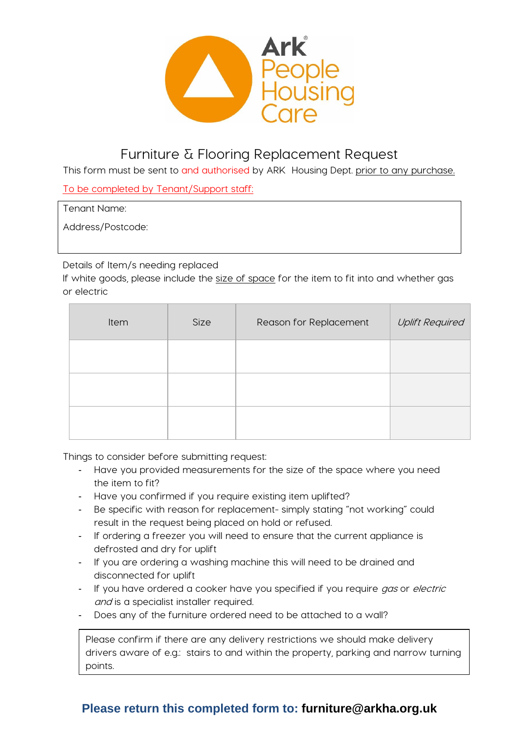

# Furniture & Flooring Replacement Request

This form must be sent to and authorised by ARK Housing Dept. prior to any purchase.

To be completed by Tenant/Support staff:

Tenant Name:

Address/Postcode:

Details of Item/s needing replaced

If white goods, please include the size of space for the item to fit into and whether gas or electric

| Item | Size | Reason for Replacement | <b>Uplift Required</b> |
|------|------|------------------------|------------------------|
|      |      |                        |                        |
|      |      |                        |                        |
|      |      |                        |                        |

Things to consider before submitting request:

- Have you provided measurements for the size of the space where you need the item to fit?
- Have you confirmed if you require existing item uplifted?
- Be specific with reason for replacement- simply stating "not working" could result in the request being placed on hold or refused.
- If ordering a freezer you will need to ensure that the current appliance is defrosted and dry for uplift
- If you are ordering a washing machine this will need to be drained and disconnected for uplift
- If you have ordered a cooker have you specified if you require gas or electric and is a specialist installer required.
- Does any of the furniture ordered need to be attached to a wall?

Please confirm if there are any delivery restrictions we should make delivery drivers aware of e.g.: stairs to and within the property, parking and narrow turning points.

### **Please return this completed form to: furniture@arkha.org.uk**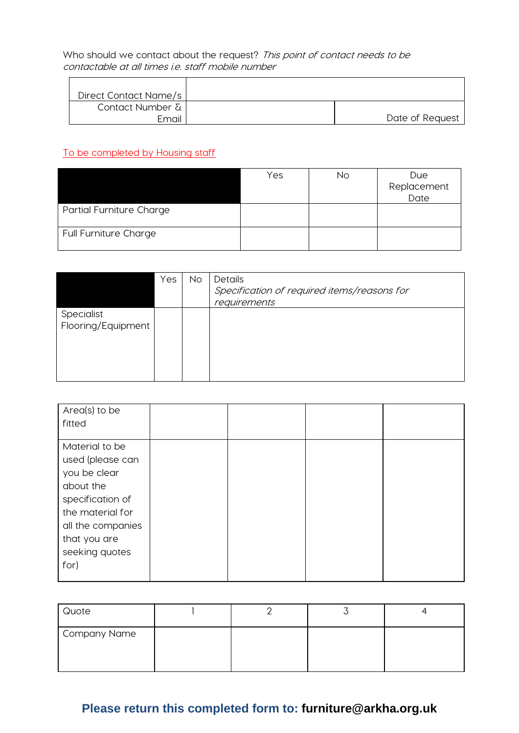Who should we contact about the request? This point of contact needs to be contactable at all times i.e. staff mobile number

| Direct Contact Name/s |                 |
|-----------------------|-----------------|
| Contact Number &      |                 |
| Email                 | Date of Request |

#### To be completed by Housing staff

|                                 | Yes | No | <b>Due</b>  |
|---------------------------------|-----|----|-------------|
|                                 |     |    | Replacement |
|                                 |     |    | Date        |
| <b>Partial Furniture Charge</b> |     |    |             |
| <b>Full Furniture Charge</b>    |     |    |             |

|                                  | Yes | <b>No</b> | Details<br>Specification of required items/reasons for<br>requirements |
|----------------------------------|-----|-----------|------------------------------------------------------------------------|
| Specialist<br>Flooring/Equipment |     |           |                                                                        |

| Area(s) to be<br>fitted                                                                                                                                                |  |  |
|------------------------------------------------------------------------------------------------------------------------------------------------------------------------|--|--|
| Material to be<br>used (please can<br>you be clear<br>about the<br>specification of<br>the material for<br>all the companies<br>that you are<br>seeking quotes<br>for) |  |  |

| Quote        |  |  |
|--------------|--|--|
| Company Name |  |  |

## **Please return this completed form to: furniture@arkha.org.uk**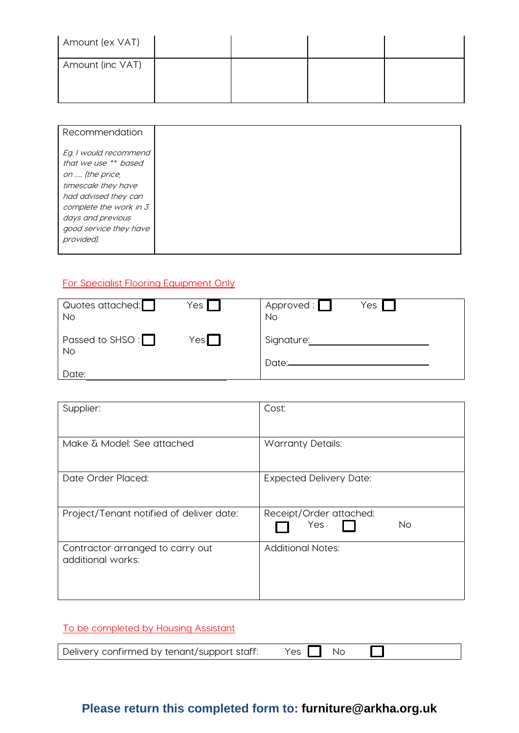| Amount (ex VAT)  |  |  |
|------------------|--|--|
| Amount (inc VAT) |  |  |

| Recommendation                                                                                                                                                                                         |  |
|--------------------------------------------------------------------------------------------------------------------------------------------------------------------------------------------------------|--|
| Eg. I would recommend<br>that we use ** based<br>on  (the price,<br>timescale they have<br>had advised they can<br>complete the work in 3<br>days and previous<br>good service they have<br>provided). |  |

#### For Specialist Flooring Equipment Only

| Quotes attached:<br><b>No</b>        | Yes        | Approved: $\Box$<br><b>No</b> | Yes |
|--------------------------------------|------------|-------------------------------|-----|
| Passed to SHSO : $\Box$<br><b>No</b> | Yes $\Box$ | Signature:<br>Date:_          |     |
| Date:                                |            |                               |     |

| Supplier:                                             | Cost:                                       |
|-------------------------------------------------------|---------------------------------------------|
| Make & Model: See attached                            | <b>Warranty Details:</b>                    |
| Date Order Placed:                                    | <b>Expected Delivery Date:</b>              |
| Project/Tenant notified of deliver date:              | Receipt/Order attached:<br><b>No</b><br>Yes |
| Contractor arranged to carry out<br>additional works: | <b>Additional Notes:</b>                    |

#### To be completed by Housing Assistant

| $Yes \n\Box$ No |  | Delivery confirmed by tenant/support staff: |
|-----------------|--|---------------------------------------------|
|-----------------|--|---------------------------------------------|

## **Please return this completed form to: furniture@arkha.org.uk**